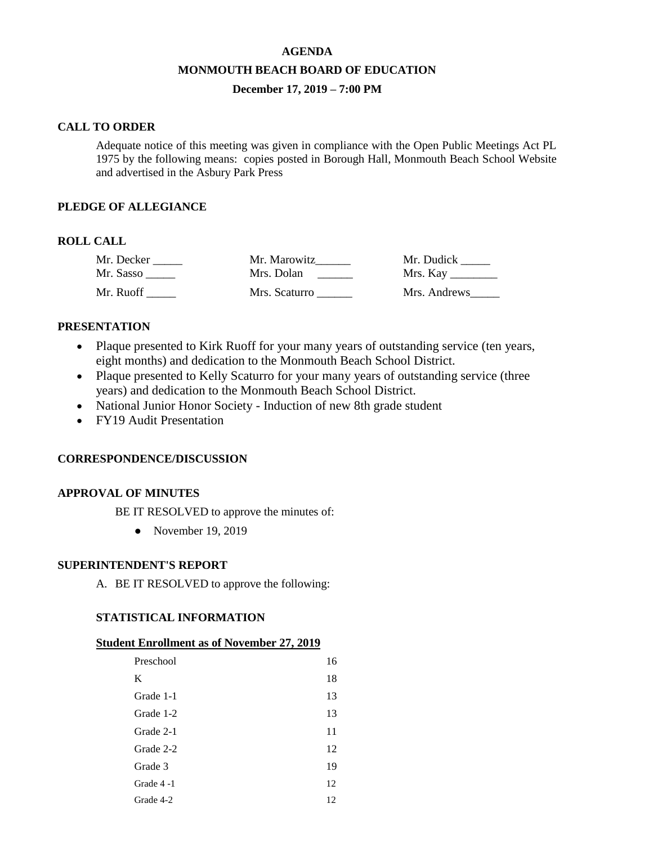# **AGENDA MONMOUTH BEACH BOARD OF EDUCATION December 17, 2019 – 7:00 PM**

#### **CALL TO ORDER**

Adequate notice of this meeting was given in compliance with the Open Public Meetings Act PL 1975 by the following means: copies posted in Borough Hall, Monmouth Beach School Website and advertised in the Asbury Park Press

# **PLEDGE OF ALLEGIANCE**

# **ROLL CALL**

| Mr. Decker | Mr. Marowitz  | Mr. Dudick   |
|------------|---------------|--------------|
| Mr. Sasso  | Mrs. Dolan    |              |
| Mr. Ruoff  | Mrs. Scaturro | Mrs. Andrews |

#### **PRESENTATION**

- Plaque presented to Kirk Ruoff for your many years of outstanding service (ten years, eight months) and dedication to the Monmouth Beach School District.
- Plaque presented to Kelly Scaturro for your many years of outstanding service (three years) and dedication to the Monmouth Beach School District.
- National Junior Honor Society Induction of new 8th grade student
- FY19 Audit Presentation

### **CORRESPONDENCE/DISCUSSION**

### **APPROVAL OF MINUTES**

BE IT RESOLVED to approve the minutes of:

• November 19, 2019

### **SUPERINTENDENT'S REPORT**

A. BE IT RESOLVED to approve the following:

### **STATISTICAL INFORMATION**

#### **Student Enrollment as of November 27, 2019**

| Preschool | 16 |
|-----------|----|
| K         | 18 |
| Grade 1-1 | 13 |
| Grade 1-2 | 13 |
| Grade 2-1 | 11 |
| Grade 2-2 | 12 |
| Grade 3   | 19 |
| Grade 4-1 | 12 |
| Grade 4-2 | 12 |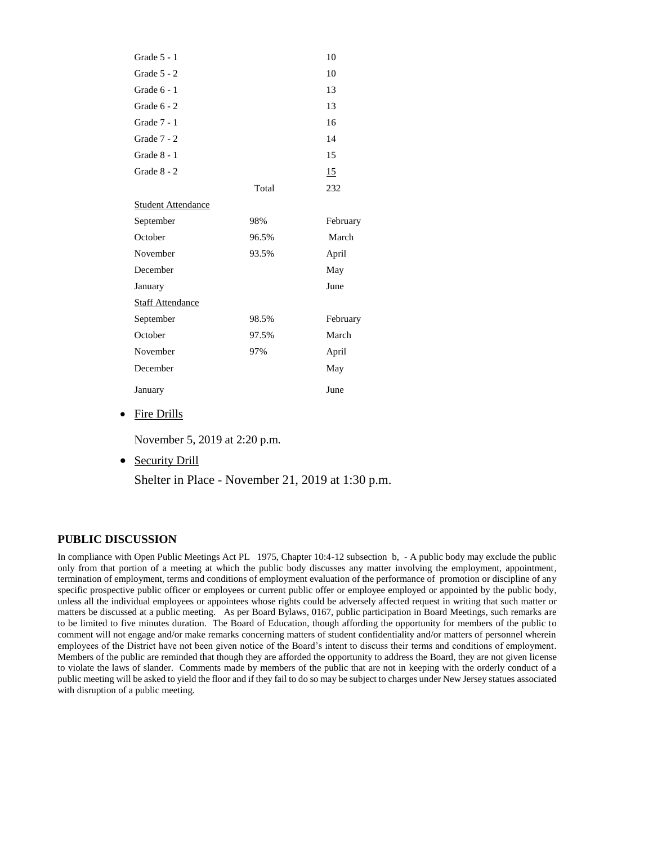| Grade 5 - 1               |       | 10       |  |  |
|---------------------------|-------|----------|--|--|
| Grade $5 - 2$             |       | 10       |  |  |
| Grade $6 - 1$             |       | 13       |  |  |
| Grade $6 - 2$             |       | 13       |  |  |
| Grade 7 - 1               |       | 16       |  |  |
| Grade $7 - 2$             |       | 14       |  |  |
| Grade $8 - 1$             |       | 15       |  |  |
| Grade 8 - 2               |       | 15       |  |  |
|                           | Total | 232      |  |  |
| <b>Student Attendance</b> |       |          |  |  |
| September                 | 98%   | February |  |  |
| October                   | 96.5% | March    |  |  |
| November                  | 93.5% | April    |  |  |
| December                  |       | May      |  |  |
| January                   |       | June     |  |  |
| <b>Staff Attendance</b>   |       |          |  |  |
| September                 | 98.5% | February |  |  |
| October                   | 97.5% | March    |  |  |
| November                  | 97%   | April    |  |  |
| December                  |       | May      |  |  |
| January                   |       | June     |  |  |

• Fire Drills

November 5, 2019 at 2:20 p.m.

• Security Drill

Shelter in Place - November 21, 2019 at 1:30 p.m.

#### **PUBLIC DISCUSSION**

In compliance with Open Public Meetings Act PL 1975, Chapter 10:4-12 subsection b, - A public body may exclude the public only from that portion of a meeting at which the public body discusses any matter involving the employment, appointment, termination of employment, terms and conditions of employment evaluation of the performance of promotion or discipline of any specific prospective public officer or employees or current public offer or employee employed or appointed by the public body, unless all the individual employees or appointees whose rights could be adversely affected request in writing that such matter or matters be discussed at a public meeting. As per Board Bylaws, 0167, public participation in Board Meetings, such remarks are to be limited to five minutes duration. The Board of Education, though affording the opportunity for members of the public to comment will not engage and/or make remarks concerning matters of student confidentiality and/or matters of personnel wherein employees of the District have not been given notice of the Board's intent to discuss their terms and conditions of employment. Members of the public are reminded that though they are afforded the opportunity to address the Board, they are not given license to violate the laws of slander. Comments made by members of the public that are not in keeping with the orderly conduct of a public meeting will be asked to yield the floor and if they fail to do so may be subject to charges under New Jersey statues associated with disruption of a public meeting.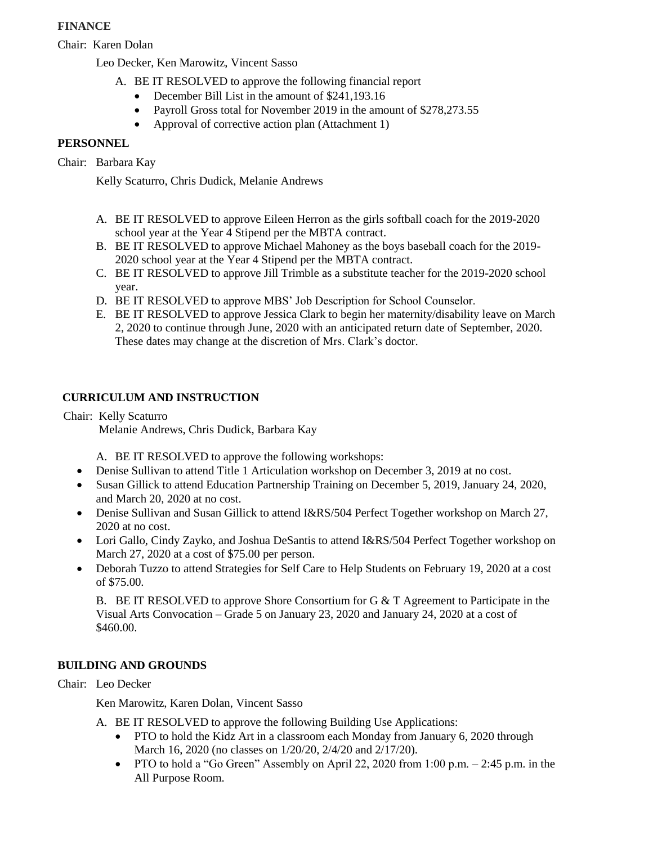# **FINANCE**

Chair: Karen Dolan

Leo Decker, Ken Marowitz, Vincent Sasso

- A. BE IT RESOLVED to approve the following financial report
	- December Bill List in the amount of \$241,193.16
	- Payroll Gross total for November 2019 in the amount of \$278,273.55
	- Approval of corrective action plan (Attachment 1)

# **PERSONNEL**

Chair: Barbara Kay

Kelly Scaturro, Chris Dudick, Melanie Andrews

- A. BE IT RESOLVED to approve Eileen Herron as the girls softball coach for the 2019-2020 school year at the Year 4 Stipend per the MBTA contract.
- B. BE IT RESOLVED to approve Michael Mahoney as the boys baseball coach for the 2019- 2020 school year at the Year 4 Stipend per the MBTA contract.
- C. BE IT RESOLVED to approve Jill Trimble as a substitute teacher for the 2019-2020 school year.
- D. BE IT RESOLVED to approve MBS' Job Description for School Counselor.
- E. BE IT RESOLVED to approve Jessica Clark to begin her maternity/disability leave on March 2, 2020 to continue through June, 2020 with an anticipated return date of September, 2020. These dates may change at the discretion of Mrs. Clark's doctor.

# **CURRICULUM AND INSTRUCTION**

Chair: Kelly Scaturro

Melanie Andrews, Chris Dudick, Barbara Kay

A. BE IT RESOLVED to approve the following workshops:

- Denise Sullivan to attend Title 1 Articulation workshop on December 3, 2019 at no cost.
- Susan Gillick to attend Education Partnership Training on December 5, 2019, January 24, 2020, and March 20, 2020 at no cost.
- Denise Sullivan and Susan Gillick to attend I&RS/504 Perfect Together workshop on March 27, 2020 at no cost.
- Lori Gallo, Cindy Zayko, and Joshua DeSantis to attend I&RS/504 Perfect Together workshop on March 27, 2020 at a cost of \$75.00 per person.
- Deborah Tuzzo to attend Strategies for Self Care to Help Students on February 19, 2020 at a cost of \$75.00.

B. BE IT RESOLVED to approve Shore Consortium for G  $&$  T Agreement to Participate in the Visual Arts Convocation – Grade 5 on January 23, 2020 and January 24, 2020 at a cost of \$460.00.

# **BUILDING AND GROUNDS**

Chair: Leo Decker

Ken Marowitz, Karen Dolan, Vincent Sasso

A. BE IT RESOLVED to approve the following Building Use Applications:

- PTO to hold the Kidz Art in a classroom each Monday from January 6, 2020 through March 16, 2020 (no classes on 1/20/20, 2/4/20 and 2/17/20).
- PTO to hold a "Go Green" Assembly on April 22, 2020 from 1:00 p.m.  $-$  2:45 p.m. in the All Purpose Room.